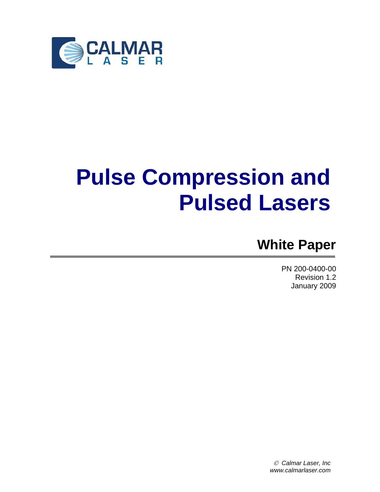

# **Pulse Compression and Pulsed Lasers**

# **White Paper**

PN 200-0400-00 Revision 1.2 January 2009

© *Calmar Laser, Inc www.calmarlaser.com*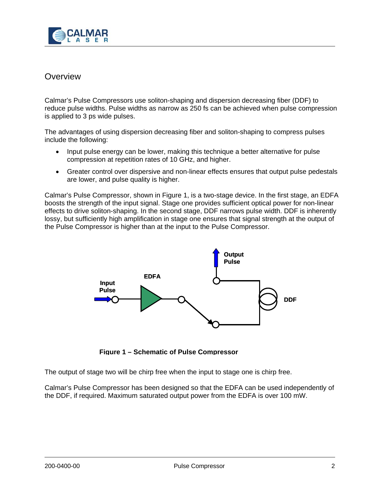

# **Overview**

Calmar's Pulse Compressors use soliton-shaping and dispersion decreasing fiber (DDF) to reduce pulse widths. Pulse widths as narrow as 250 fs can be achieved when pulse compression is applied to 3 ps wide pulses.

The advantages of using dispersion decreasing fiber and soliton-shaping to compress pulses include the following:

- Input pulse energy can be lower, making this technique a better alternative for pulse compression at repetition rates of 10 GHz, and higher.
- Greater control over dispersive and non-linear effects ensures that output pulse pedestals are lower, and pulse quality is higher.

Calmar's Pulse Compressor, shown in Figure 1, is a two-stage device. In the first stage, an EDFA boosts the strength of the input signal. Stage one provides sufficient optical power for non-linear effects to drive soliton-shaping. In the second stage, DDF narrows pulse width. DDF is inherently lossy, but sufficiently high amplification in stage one ensures that signal strength at the output of the Pulse Compressor is higher than at the input to the Pulse Compressor.



**Figure 1 – Schematic of Pulse Compressor**

The output of stage two will be chirp free when the input to stage one is chirp free.

Calmar's Pulse Compressor has been designed so that the EDFA can be used independently of the DDF, if required. Maximum saturated output power from the EDFA is over 100 mW.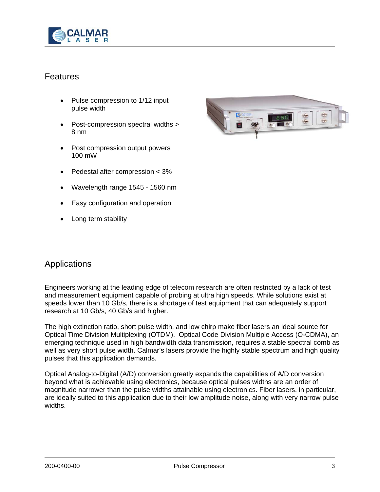

# Features

- Pulse compression to 1/12 input pulse width
- Post-compression spectral widths > 8 nm
- Post compression output powers 100 mW
- Pedestal after compression < 3%
- Wavelength range 1545 1560 nm
- Easy configuration and operation
- Long term stability



# Applications

Engineers working at the leading edge of telecom research are often restricted by a lack of test and measurement equipment capable of probing at ultra high speeds. While solutions exist at speeds lower than 10 Gb/s, there is a shortage of test equipment that can adequately support research at 10 Gb/s, 40 Gb/s and higher.

The high extinction ratio, short pulse width, and low chirp make fiber lasers an ideal source for Optical Time Division Multiplexing (OTDM). Optical Code Division Multiple Access (O-CDMA), an emerging technique used in high bandwidth data transmission, requires a stable spectral comb as well as very short pulse width. Calmar's lasers provide the highly stable spectrum and high quality pulses that this application demands.

Optical Analog-to-Digital (A/D) conversion greatly expands the capabilities of A/D conversion beyond what is achievable using electronics, because optical pulses widths are an order of magnitude narrower than the pulse widths attainable using electronics. Fiber lasers, in particular, are ideally suited to this application due to their low amplitude noise, along with very narrow pulse widths.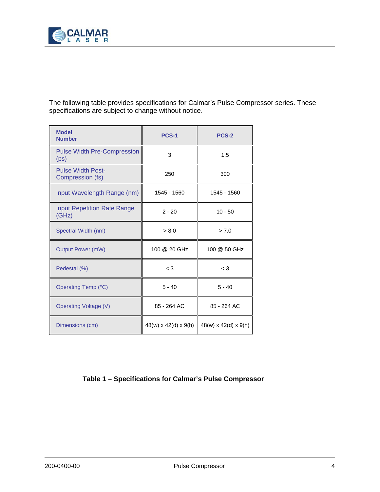

The following table provides specifications for Calmar's Pulse Compressor series. These specifications are subject to change without notice.

| <b>Model</b><br><b>Number</b>                           | <b>PCS-1</b>                     | <b>PCS-2</b>                     |
|---------------------------------------------------------|----------------------------------|----------------------------------|
| <b>Pulse Width Pre-Compression</b><br>(p <sub>S</sub> ) | 3                                | 1.5                              |
| <b>Pulse Width Post-</b><br>Compression (fs)            | 250                              | 300                              |
| Input Wavelength Range (nm)                             | 1545 - 1560                      | 1545 - 1560                      |
| <b>Input Repetition Rate Range</b><br>(GHz)             | $2 - 20$                         | $10 - 50$                        |
| Spectral Width (nm)                                     | > 8.0                            | > 7.0                            |
| <b>Output Power (mW)</b>                                | 100 @ 20 GHz                     | 100 @ 50 GHz                     |
| Pedestal (%)                                            | $\lt 3$                          | $<$ 3                            |
| Operating Temp (°C)                                     | $5 - 40$                         | $5 - 40$                         |
| <b>Operating Voltage (V)</b>                            | 85 - 264 AC                      | 85 - 264 AC                      |
| Dimensions (cm)                                         | $48(w) \times 42(d) \times 9(h)$ | $48(w) \times 42(d) \times 9(h)$ |

#### **Table 1 – Specifications for Calmar's Pulse Compressor**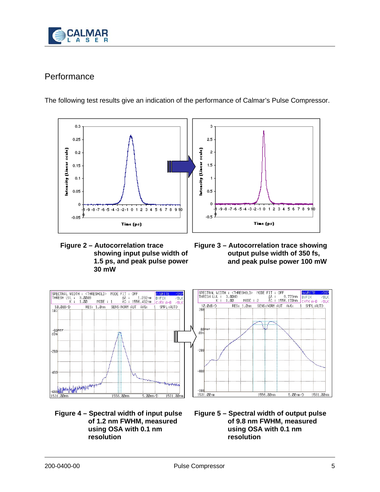

# **Performance**

The following test results give an indication of the performance of Calmar's Pulse Compressor.



- **Figure 2 Autocorrelation trace showing input pulse width of 1.5 ps, and peak pulse power 30 mW**
- **Figure 3 Autocorrelation trace showing output pulse width of 350 fs, and peak pulse power 100 mW**